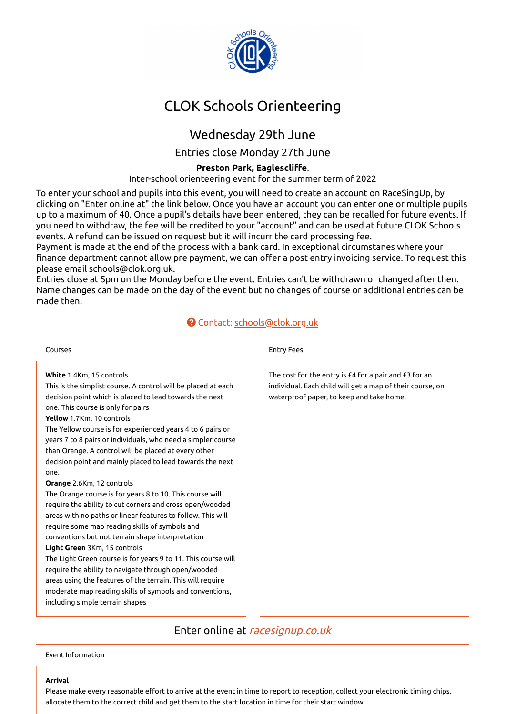

# CLOK Schools Orienteering

# Wednesday 29th June

Entries close Monday 27th June

### **Preston Park, Eaglescli�e**.

Inter-school orienteering event for the summer term of 2022

To enter your school and pupils into this event, you will need to create an account on RaceSingUp, by clicking on "Enter online at" the link below. Once you have an account you can enter one or multiple pupils up to a maximum of 40. Once a pupil's details have been entered, they can be recalled for future events. If you need to withdraw, the fee will be credited to your "account" and can be used at future CLOK Schools events. A refund can be issued on request but it will incurr the card processing fee.

Payment is made at the end of the process with a bank card. In exceptional circumstanes where your finance department cannot allow pre payment, we can offer a post entry invoicing service. To request this please email schools@clok.org.uk.

Entries close at 5pm on the Monday before the event. Entries can't be withdrawn or changed after then. Name changes can be made on the day of the event but no changes of course or additional entries can be made then.

## Contact: [schools@clok.org.uk](mailto:schools@clok.org.uk)

| Courses                                                                                                                                                                                                                                                                                                                                                                                                                                                                                                                                                                                                                                                                                                                                                                                                                                                                                                                                                                                                                                                                                                                                 | <b>Entry Fees</b>                                                                                                                                              |
|-----------------------------------------------------------------------------------------------------------------------------------------------------------------------------------------------------------------------------------------------------------------------------------------------------------------------------------------------------------------------------------------------------------------------------------------------------------------------------------------------------------------------------------------------------------------------------------------------------------------------------------------------------------------------------------------------------------------------------------------------------------------------------------------------------------------------------------------------------------------------------------------------------------------------------------------------------------------------------------------------------------------------------------------------------------------------------------------------------------------------------------------|----------------------------------------------------------------------------------------------------------------------------------------------------------------|
| White 1.4Km, 15 controls<br>This is the simplist course. A control will be placed at each<br>decision point which is placed to lead towards the next<br>one. This course is only for pairs<br>Yellow 1.7Km, 10 controls<br>The Yellow course is for experienced years 4 to 6 pairs or<br>years 7 to 8 pairs or individuals, who need a simpler course<br>than Orange. A control will be placed at every other<br>decision point and mainly placed to lead towards the next<br>one.<br>Orange 2.6Km, 12 controls<br>The Orange course is for years 8 to 10. This course will<br>require the ability to cut corners and cross open/wooded<br>areas with no paths or linear features to follow. This will<br>require some map reading skills of symbols and<br>conventions but not terrain shape interpretation<br><b>Light Green</b> 3Km, 15 controls<br>The Light Green course is for years 9 to 11. This course will<br>require the ability to navigate through open/wooded<br>areas using the features of the terrain. This will require<br>moderate map reading skills of symbols and conventions,<br>including simple terrain shapes | The cost for the entry is £4 for a pair and £3 for an<br>individual. Each child will get a map of their course, on<br>waterproof paper, to keep and take home. |
|                                                                                                                                                                                                                                                                                                                                                                                                                                                                                                                                                                                                                                                                                                                                                                                                                                                                                                                                                                                                                                                                                                                                         |                                                                                                                                                                |

Enter online at [racesignup.co.uk](https://racesignup.co.uk/site/event.php?eventid=2781)

Event Information

#### **Arrival**

Please make every reasonable effort to arrive at the event in time to report to reception, collect your electronic timing chips, allocate them to the correct child and get them to the start location in time for their start window.